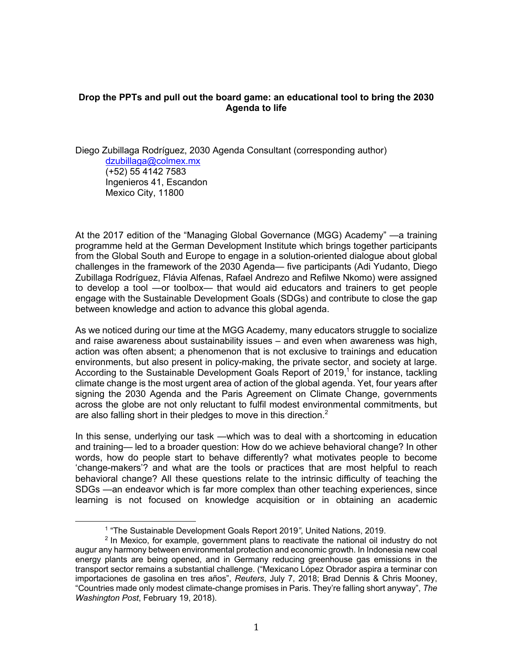## **Drop the PPTs and pull out the board game: an educational tool to bring the 2030 Agenda to life**

Diego Zubillaga Rodríguez, 2030 Agenda Consultant (corresponding author) dzubillaga@colmex.mx (+52) 55 4142 7583 Ingenieros 41, Escandon Mexico City, 11800

At the 2017 edition of the "Managing Global Governance (MGG) Academy" —a training programme held at the German Development Institute which brings together participants from the Global South and Europe to engage in a solution-oriented dialogue about global challenges in the framework of the 2030 Agenda— five participants (Adi Yudanto, Diego Zubillaga Rodríguez, Flávia Alfenas, Rafael Andrezo and Refilwe Nkomo) were assigned to develop a tool —or toolbox— that would aid educators and trainers to get people engage with the Sustainable Development Goals (SDGs) and contribute to close the gap between knowledge and action to advance this global agenda.

As we noticed during our time at the MGG Academy, many educators struggle to socialize and raise awareness about sustainability issues – and even when awareness was high, action was often absent; a phenomenon that is not exclusive to trainings and education environments, but also present in policy-making, the private sector, and society at large. According to the Sustainable Development Goals Report of  $2019<sup>1</sup>$  for instance, tackling climate change is the most urgent area of action of the global agenda. Yet, four years after signing the 2030 Agenda and the Paris Agreement on Climate Change, governments across the globe are not only reluctant to fulfil modest environmental commitments, but are also falling short in their pledges to move in this direction. $2$ 

In this sense, underlying our task —which was to deal with a shortcoming in education and training— led to a broader question: How do we achieve behavioral change? In other words, how do people start to behave differently? what motivates people to become 'change-makers'? and what are the tools or practices that are most helpful to reach behavioral change? All these questions relate to the intrinsic difficulty of teaching the SDGs —an endeavor which is far more complex than other teaching experiences, since learning is not focused on knowledge acquisition or in obtaining an academic

 <sup>1</sup> "The Sustainable Development Goals Report 2019*"*, United Nations, 2019.

 $<sup>2</sup>$  In Mexico, for example, government plans to reactivate the national oil industry do not</sup> augur any harmony between environmental protection and economic growth. In Indonesia new coal energy plants are being opened, and in Germany reducing greenhouse gas emissions in the transport sector remains a substantial challenge. ("Mexicano López Obrador aspira a terminar con importaciones de gasolina en tres años", *Reuters*, July 7, 2018; Brad Dennis & Chris Mooney, "Countries made only modest climate-change promises in Paris. They're falling short anyway", *The Washington Post*, February 19, 2018).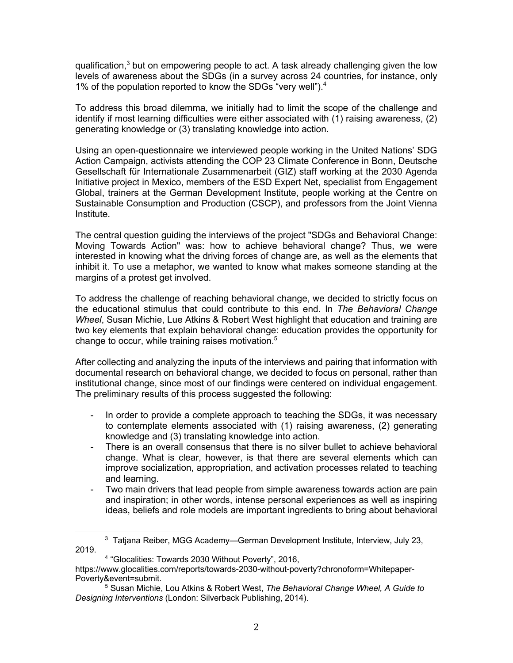qualification,<sup>3</sup> but on empowering people to act. A task already challenging given the low levels of awareness about the SDGs (in a survey across 24 countries, for instance, only 1% of the population reported to know the SDGs "very well").<sup>4</sup>

To address this broad dilemma, we initially had to limit the scope of the challenge and identify if most learning difficulties were either associated with (1) raising awareness, (2) generating knowledge or (3) translating knowledge into action.

Using an open-questionnaire we interviewed people working in the United Nations' SDG Action Campaign, activists attending the COP 23 Climate Conference in Bonn, Deutsche Gesellschaft für Internationale Zusammenarbeit (GIZ) staff working at the 2030 Agenda Initiative project in Mexico, members of the ESD Expert Net, specialist from Engagement Global, trainers at the German Development Institute, people working at the Centre on Sustainable Consumption and Production (CSCP), and professors from the Joint Vienna Institute.

The central question guiding the interviews of the project "SDGs and Behavioral Change: Moving Towards Action" was: how to achieve behavioral change? Thus, we were interested in knowing what the driving forces of change are, as well as the elements that inhibit it. To use a metaphor, we wanted to know what makes someone standing at the margins of a protest get involved.

To address the challenge of reaching behavioral change, we decided to strictly focus on the educational stimulus that could contribute to this end. In *The Behavioral Change Wheel*, Susan Michie, Lue Atkins & Robert West highlight that education and training are two key elements that explain behavioral change: education provides the opportunity for change to occur, while training raises motivation.<sup>5</sup>

After collecting and analyzing the inputs of the interviews and pairing that information with documental research on behavioral change, we decided to focus on personal, rather than institutional change, since most of our findings were centered on individual engagement. The preliminary results of this process suggested the following:

- In order to provide a complete approach to teaching the SDGs, it was necessary to contemplate elements associated with (1) raising awareness, (2) generating knowledge and (3) translating knowledge into action.
- There is an overall consensus that there is no silver bullet to achieve behavioral change. What is clear, however, is that there are several elements which can improve socialization, appropriation, and activation processes related to teaching and learning.
- Two main drivers that lead people from simple awareness towards action are pain and inspiration; in other words, intense personal experiences as well as inspiring ideas, beliefs and role models are important ingredients to bring about behavioral

 

<sup>3</sup> Tatjana Reiber, MGG Academy—German Development Institute, Interview, July 23, 2019.

<sup>4</sup> "Glocalities: Towards 2030 Without Poverty", 2016,

https://www.glocalities.com/reports/towards-2030-without-poverty?chronoform=Whitepaper-Poverty&event=submit.

<sup>5</sup> Susan Michie, Lou Atkins & Robert West, *The Behavioral Change Wheel, A Guide to Designing Interventions* (London: Silverback Publishing, 2014).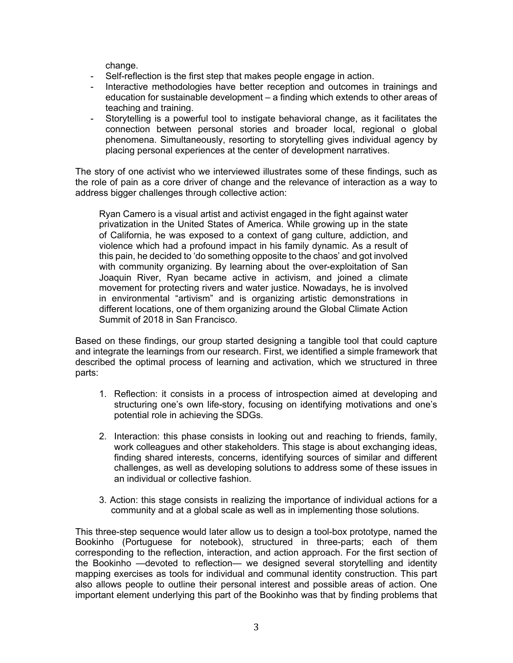change.

- Self-reflection is the first step that makes people engage in action.
- Interactive methodologies have better reception and outcomes in trainings and education for sustainable development – a finding which extends to other areas of teaching and training.
- Storytelling is a powerful tool to instigate behavioral change, as it facilitates the connection between personal stories and broader local, regional o global phenomena. Simultaneously, resorting to storytelling gives individual agency by placing personal experiences at the center of development narratives.

The story of one activist who we interviewed illustrates some of these findings, such as the role of pain as a core driver of change and the relevance of interaction as a way to address bigger challenges through collective action:

Ryan Camero is a visual artist and activist engaged in the fight against water privatization in the United States of America. While growing up in the state of California, he was exposed to a context of gang culture, addiction, and violence which had a profound impact in his family dynamic. As a result of this pain, he decided to 'do something opposite to the chaos' and got involved with community organizing. By learning about the over-exploitation of San Joaquin River, Ryan became active in activism, and joined a climate movement for protecting rivers and water justice. Nowadays, he is involved in environmental "artivism" and is organizing artistic demonstrations in different locations, one of them organizing around the Global Climate Action Summit of 2018 in San Francisco.

Based on these findings, our group started designing a tangible tool that could capture and integrate the learnings from our research. First, we identified a simple framework that described the optimal process of learning and activation, which we structured in three parts:

- 1. Reflection: it consists in a process of introspection aimed at developing and structuring one's own life-story, focusing on identifying motivations and one's potential role in achieving the SDGs.
- 2. Interaction: this phase consists in looking out and reaching to friends, family, work colleagues and other stakeholders. This stage is about exchanging ideas, finding shared interests, concerns, identifying sources of similar and different challenges, as well as developing solutions to address some of these issues in an individual or collective fashion.
- 3. Action: this stage consists in realizing the importance of individual actions for a community and at a global scale as well as in implementing those solutions.

This three-step sequence would later allow us to design a tool-box prototype, named the Bookinho (Portuguese for notebook), structured in three-parts; each of them corresponding to the reflection, interaction, and action approach. For the first section of the Bookinho —devoted to reflection— we designed several storytelling and identity mapping exercises as tools for individual and communal identity construction. This part also allows people to outline their personal interest and possible areas of action. One important element underlying this part of the Bookinho was that by finding problems that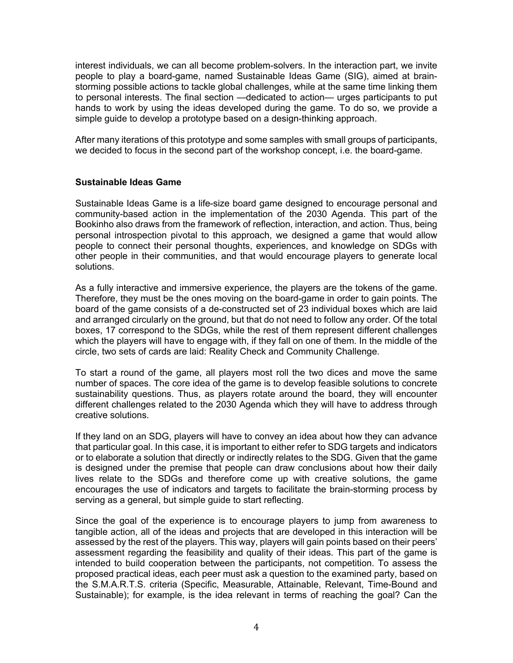interest individuals, we can all become problem-solvers. In the interaction part, we invite people to play a board-game, named Sustainable Ideas Game (SIG), aimed at brainstorming possible actions to tackle global challenges, while at the same time linking them to personal interests. The final section —dedicated to action— urges participants to put hands to work by using the ideas developed during the game. To do so, we provide a simple guide to develop a prototype based on a design-thinking approach.

After many iterations of this prototype and some samples with small groups of participants, we decided to focus in the second part of the workshop concept, i.e. the board-game.

## **Sustainable Ideas Game**

Sustainable Ideas Game is a life-size board game designed to encourage personal and community-based action in the implementation of the 2030 Agenda. This part of the Bookinho also draws from the framework of reflection, interaction, and action. Thus, being personal introspection pivotal to this approach, we designed a game that would allow people to connect their personal thoughts, experiences, and knowledge on SDGs with other people in their communities, and that would encourage players to generate local solutions.

As a fully interactive and immersive experience, the players are the tokens of the game. Therefore, they must be the ones moving on the board-game in order to gain points. The board of the game consists of a de-constructed set of 23 individual boxes which are laid and arranged circularly on the ground, but that do not need to follow any order. Of the total boxes, 17 correspond to the SDGs, while the rest of them represent different challenges which the players will have to engage with, if they fall on one of them. In the middle of the circle, two sets of cards are laid: Reality Check and Community Challenge.

To start a round of the game, all players most roll the two dices and move the same number of spaces. The core idea of the game is to develop feasible solutions to concrete sustainability questions. Thus, as players rotate around the board, they will encounter different challenges related to the 2030 Agenda which they will have to address through creative solutions.

If they land on an SDG, players will have to convey an idea about how they can advance that particular goal. In this case, it is important to either refer to SDG targets and indicators or to elaborate a solution that directly or indirectly relates to the SDG. Given that the game is designed under the premise that people can draw conclusions about how their daily lives relate to the SDGs and therefore come up with creative solutions, the game encourages the use of indicators and targets to facilitate the brain-storming process by serving as a general, but simple quide to start reflecting.

Since the goal of the experience is to encourage players to jump from awareness to tangible action, all of the ideas and projects that are developed in this interaction will be assessed by the rest of the players. This way, players will gain points based on their peers' assessment regarding the feasibility and quality of their ideas. This part of the game is intended to build cooperation between the participants, not competition. To assess the proposed practical ideas, each peer must ask a question to the examined party, based on the S.M.A.R.T.S. criteria (Specific, Measurable, Attainable, Relevant, Time-Bound and Sustainable); for example, is the idea relevant in terms of reaching the goal? Can the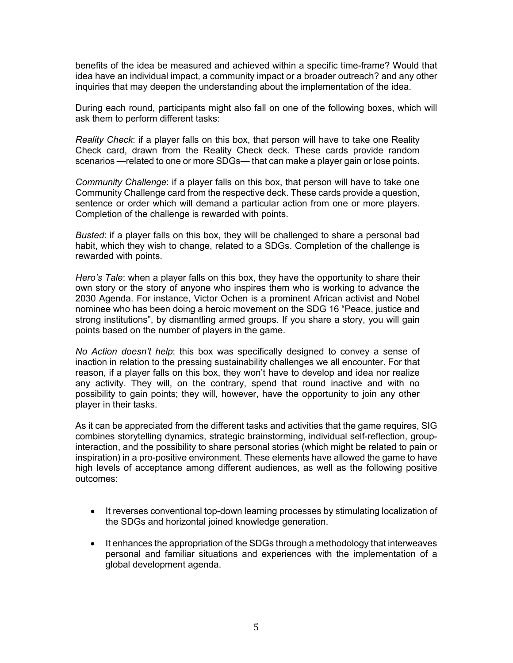benefits of the idea be measured and achieved within a specific time-frame? Would that idea have an individual impact, a community impact or a broader outreach? and any other inquiries that may deepen the understanding about the implementation of the idea.

During each round, participants might also fall on one of the following boxes, which will ask them to perform different tasks:

*Reality Check*: if a player falls on this box, that person will have to take one Reality Check card, drawn from the Reality Check deck. These cards provide random scenarios —related to one or more SDGs— that can make a player gain or lose points.

*Community Challenge*: if a player falls on this box, that person will have to take one Community Challenge card from the respective deck. These cards provide a question, sentence or order which will demand a particular action from one or more players. Completion of the challenge is rewarded with points.

*Busted*: if a player falls on this box, they will be challenged to share a personal bad habit, which they wish to change, related to a SDGs. Completion of the challenge is rewarded with points.

*Hero's Tale*: when a player falls on this box, they have the opportunity to share their own story or the story of anyone who inspires them who is working to advance the 2030 Agenda. For instance, Victor Ochen is a prominent African activist and Nobel nominee who has been doing a heroic movement on the SDG 16 "Peace, justice and strong institutions", by dismantling armed groups. If you share a story, you will gain points based on the number of players in the game.

*No Action doesn't help*: this box was specifically designed to convey a sense of inaction in relation to the pressing sustainability challenges we all encounter. For that reason, if a player falls on this box, they won't have to develop and idea nor realize any activity. They will, on the contrary, spend that round inactive and with no possibility to gain points; they will, however, have the opportunity to join any other player in their tasks.

As it can be appreciated from the different tasks and activities that the game requires, SIG combines storytelling dynamics, strategic brainstorming, individual self-reflection, groupinteraction, and the possibility to share personal stories (which might be related to pain or inspiration) in a pro-positive environment. These elements have allowed the game to have high levels of acceptance among different audiences, as well as the following positive outcomes:

- It reverses conventional top-down learning processes by stimulating localization of the SDGs and horizontal joined knowledge generation.
- It enhances the appropriation of the SDGs through a methodology that interweaves personal and familiar situations and experiences with the implementation of a global development agenda.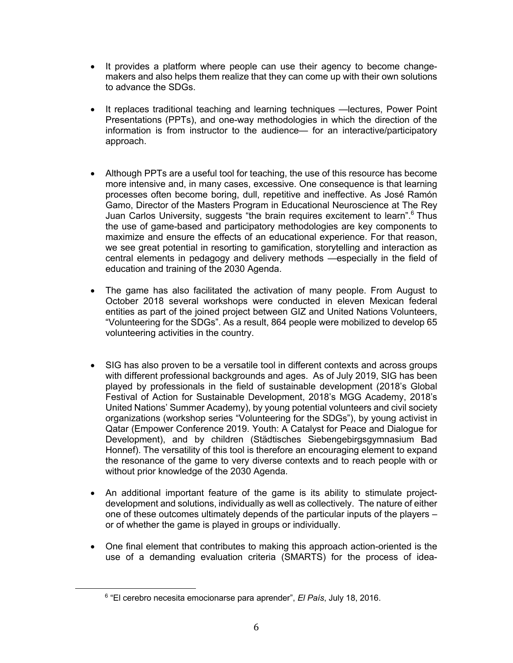- It provides a platform where people can use their agency to become changemakers and also helps them realize that they can come up with their own solutions to advance the SDGs.
- It replaces traditional teaching and learning techniques —lectures, Power Point Presentations (PPTs), and one-way methodologies in which the direction of the information is from instructor to the audience— for an interactive/participatory approach.
- Although PPTs are a useful tool for teaching, the use of this resource has become more intensive and, in many cases, excessive. One consequence is that learning processes often become boring, dull, repetitive and ineffective. As José Ramón Gamo, Director of the Masters Program in Educational Neuroscience at The Rey Juan Carlos University, suggests "the brain requires excitement to learn".<sup>6</sup> Thus the use of game-based and participatory methodologies are key components to maximize and ensure the effects of an educational experience. For that reason, we see great potential in resorting to gamification, storytelling and interaction as central elements in pedagogy and delivery methods —especially in the field of education and training of the 2030 Agenda.
- The game has also facilitated the activation of many people. From August to October 2018 several workshops were conducted in eleven Mexican federal entities as part of the joined project between GIZ and United Nations Volunteers, "Volunteering for the SDGs". As a result, 864 people were mobilized to develop 65 volunteering activities in the country.
- SIG has also proven to be a versatile tool in different contexts and across groups with different professional backgrounds and ages. As of July 2019, SIG has been played by professionals in the field of sustainable development (2018's Global Festival of Action for Sustainable Development, 2018's MGG Academy, 2018's United Nations' Summer Academy), by young potential volunteers and civil society organizations (workshop series "Volunteering for the SDGs"), by young activist in Qatar (Empower Conference 2019. Youth: A Catalyst for Peace and Dialogue for Development), and by children (Städtisches Siebengebirgsgymnasium Bad Honnef). The versatility of this tool is therefore an encouraging element to expand the resonance of the game to very diverse contexts and to reach people with or without prior knowledge of the 2030 Agenda.
- An additional important feature of the game is its ability to stimulate projectdevelopment and solutions, individually as well as collectively. The nature of either one of these outcomes ultimately depends of the particular inputs of the players – or of whether the game is played in groups or individually.
- One final element that contributes to making this approach action-oriented is the use of a demanding evaluation criteria (SMARTS) for the process of idea-

 <sup>6</sup> "El cerebro necesita emocionarse para aprender", *El País*, July 18, 2016.